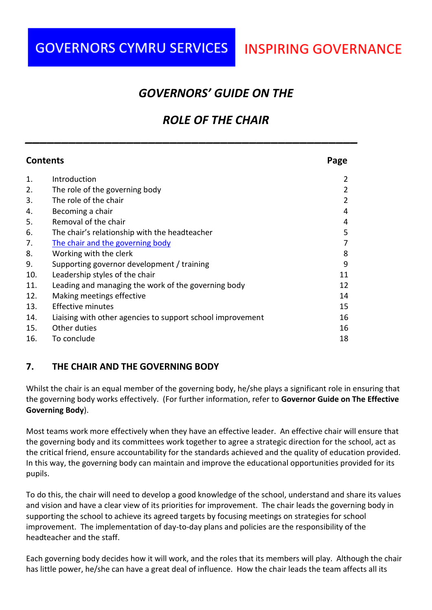## **INSPIRING GOVERNANCE**

### *GOVERNORS' GUIDE ON THE*

## *ROLE OF THE CHAIR*

| <b>Contents</b> |                                                            | Page |
|-----------------|------------------------------------------------------------|------|
| 1.              | Introduction                                               |      |
| 2.              | The role of the governing body                             |      |
| 3.              | The role of the chair                                      |      |
| 4.              | Becoming a chair                                           | 4    |
| 5.              | Removal of the chair                                       | 4    |
| 6.              | The chair's relationship with the headteacher              | 5    |
| 7.              | The chair and the governing body                           |      |
| 8.              | Working with the clerk                                     | 8    |
| 9.              | Supporting governor development / training                 | 9    |
| 10.             | Leadership styles of the chair                             | 11   |
| 11.             | Leading and managing the work of the governing body        | 12   |
| 12.             | Making meetings effective                                  | 14   |
| 13.             | Effective minutes                                          | 15   |
| 14.             | Liaising with other agencies to support school improvement | 16   |
| 15.             | Other duties                                               | 16   |
| 16.             | To conclude                                                | 18   |

*\_\_\_\_\_\_\_\_\_\_\_\_\_\_\_\_\_\_\_\_\_\_\_\_\_\_\_\_\_\_\_\_\_\_\_\_\_\_\_\_\_\_\_\_\_\_*

#### <span id="page-0-0"></span>**7. THE CHAIR AND THE GOVERNING BODY**

Whilst the chair is an equal member of the governing body, he/she plays a significant role in ensuring that the governing body works effectively. (For further information, refer to **Governor Guide on The Effective Governing Body**).

Most teams work more effectively when they have an effective leader. An effective chair will ensure that the governing body and its committees work together to agree a strategic direction for the school, act as the critical friend, ensure accountability for the standards achieved and the quality of education provided. In this way, the governing body can maintain and improve the educational opportunities provided for its pupils.

To do this, the chair will need to develop a good knowledge of the school, understand and share its values and vision and have a clear view of its priorities for improvement. The chair leads the governing body in supporting the school to achieve its agreed targets by focusing meetings on strategies for school improvement. The implementation of day-to-day plans and policies are the responsibility of the headteacher and the staff.

Each governing body decides how it will work, and the roles that its members will play. Although the chair has little power, he/she can have a great deal of influence. How the chair leads the team affects all its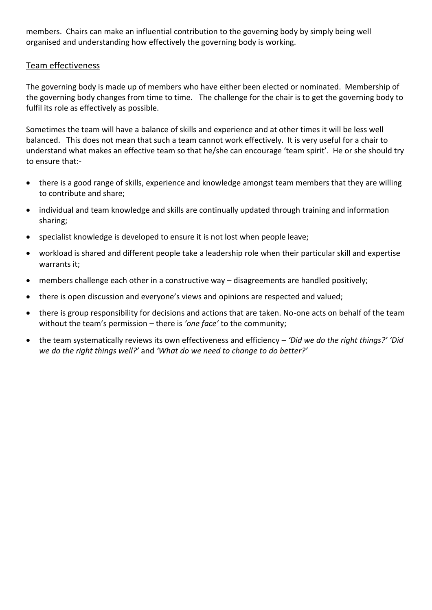members. Chairs can make an influential contribution to the governing body by simply being well organised and understanding how effectively the governing body is working.

#### Team effectiveness

The governing body is made up of members who have either been elected or nominated. Membership of the governing body changes from time to time. The challenge for the chair is to get the governing body to fulfil its role as effectively as possible.

Sometimes the team will have a balance of skills and experience and at other times it will be less well balanced. This does not mean that such a team cannot work effectively. It is very useful for a chair to understand what makes an effective team so that he/she can encourage 'team spirit'. He or she should try to ensure that:-

- there is a good range of skills, experience and knowledge amongst team members that they are willing to contribute and share;
- individual and team knowledge and skills are continually updated through training and information sharing;
- specialist knowledge is developed to ensure it is not lost when people leave;
- workload is shared and different people take a leadership role when their particular skill and expertise warrants it;
- members challenge each other in a constructive way disagreements are handled positively;
- there is open discussion and everyone's views and opinions are respected and valued;
- there is group responsibility for decisions and actions that are taken. No-one acts on behalf of the team without the team's permission – there is *'one face'* to the community;
- the team systematically reviews its own effectiveness and efficiency *'Did we do the right things?' 'Did we do the right things well?'* and *'What do we need to change to do better?'*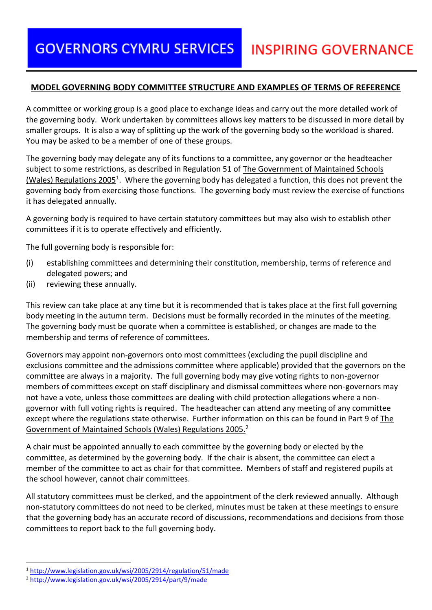#### **MODEL GOVERNING BODY COMMITTEE STRUCTURE AND EXAMPLES OF TERMS OF REFERENCE**

A committee or working group is a good place to exchange ideas and carry out the more detailed work of the governing body. Work undertaken by committees allows key matters to be discussed in more detail by smaller groups. It is also a way of splitting up the work of the governing body so the workload is shared. You may be asked to be a member of one of these groups.

The governing body may delegate any of its functions to a committee, any governor or the headteacher subject to some restrictions, as described in Regulation 51 of The Government of Maintained Schools (Wales) Regulations 2005<sup>1</sup>. Where the governing body has delegated a function, this does not prevent the governing body from exercising those functions. The governing body must review the exercise of functions it has delegated annually.

A governing body is required to have certain statutory committees but may also wish to establish other committees if it is to operate effectively and efficiently.

The full governing body is responsible for:

- (i) establishing committees and determining their constitution, membership, terms of reference and delegated powers; and
- (ii) reviewing these annually.

This review can take place at any time but it is recommended that is takes place at the first full governing body meeting in the autumn term. Decisions must be formally recorded in the minutes of the meeting. The governing body must be quorate when a committee is established, or changes are made to the membership and terms of reference of committees.

Governors may appoint non-governors onto most committees (excluding the pupil discipline and exclusions committee and the admissions committee where applicable) provided that the governors on the committee are always in a majority. The full governing body may give voting rights to non-governor members of committees except on staff disciplinary and dismissal committees where non-governors may not have a vote, unless those committees are dealing with child protection allegations where a nongovernor with full voting rights is required. The headteacher can attend any meeting of any committee except where the regulations state otherwise. Further information on this can be found in Part 9 of The Government of Maintained Schools (Wales) Regulations 2005.<sup>2</sup>

A chair must be appointed annually to each committee by the governing body or elected by the committee, as determined by the governing body. If the chair is absent, the committee can elect a member of the committee to act as chair for that committee. Members of staff and registered pupils at the school however, cannot chair committees.

All statutory committees must be clerked, and the appointment of the clerk reviewed annually. Although non-statutory committees do not need to be clerked, minutes must be taken at these meetings to ensure that the governing body has an accurate record of discussions, recommendations and decisions from those committees to report back to the full governing body.

<u>.</u>

<sup>1</sup> <http://www.legislation.gov.uk/wsi/2005/2914/regulation/51/made>

<sup>2</sup> <http://www.legislation.gov.uk/wsi/2005/2914/part/9/made>